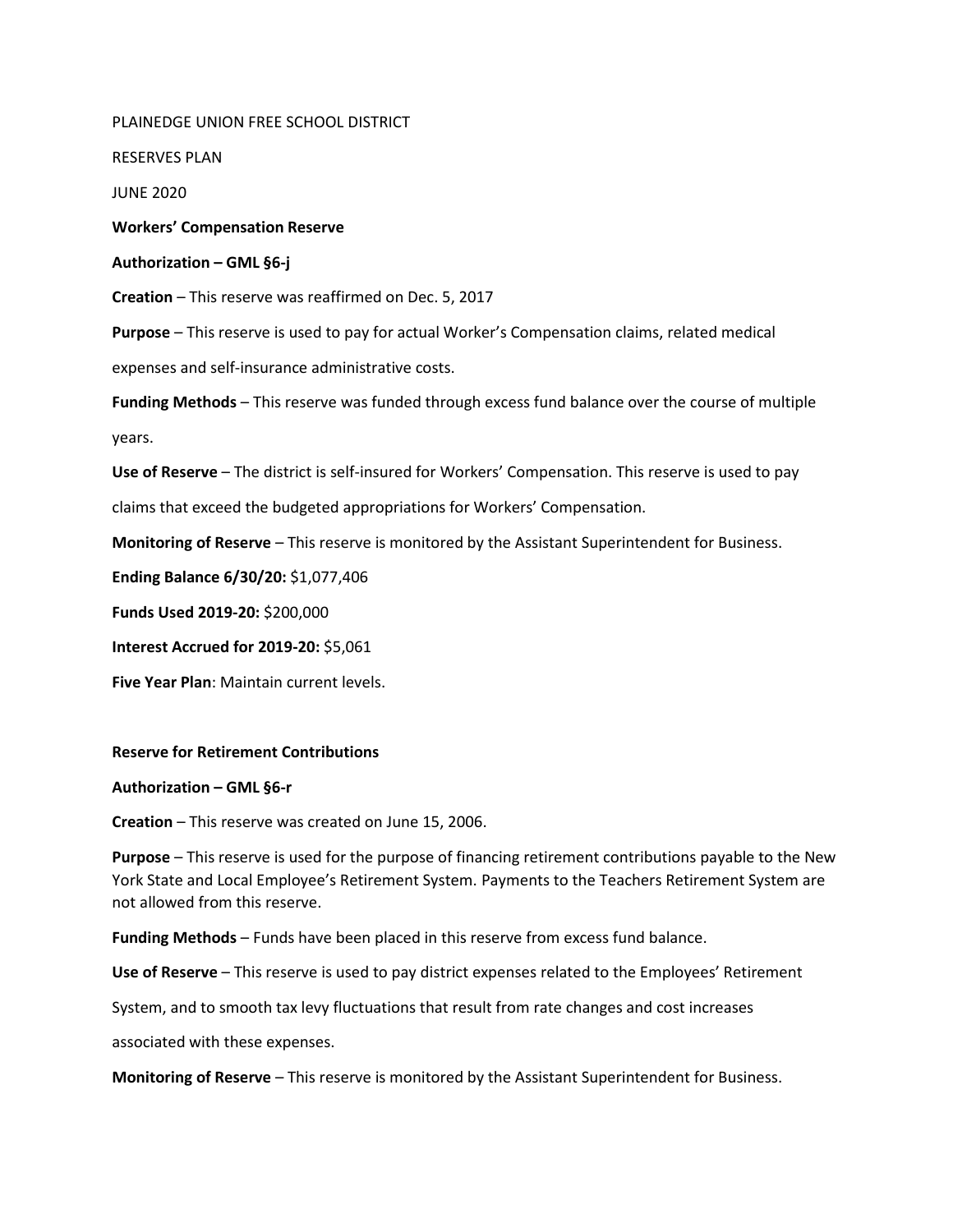PLAINEDGE UNION FREE SCHOOL DISTRICT RESERVES PLAN JUNE 2020 **Workers' Compensation Reserve Authorization – GML §6-j Creation** – This reserve was reaffirmed on Dec. 5, 2017 **Purpose** – This reserve is used to pay for actual Worker's Compensation claims, related medical expenses and self-insurance administrative costs. **Funding Methods** – This reserve was funded through excess fund balance over the course of multiple years. **Use of Reserve** – The district is self-insured for Workers' Compensation. This reserve is used to pay claims that exceed the budgeted appropriations for Workers' Compensation. **Monitoring of Reserve** – This reserve is monitored by the Assistant Superintendent for Business. **Ending Balance 6/30/20:** \$1,077,406 **Funds Used 2019-20:** \$200,000 **Interest Accrued for 2019-20:** \$5,061 **Five Year Plan**: Maintain current levels. **Reserve for Retirement Contributions**

## **Authorization – GML §6-r**

**Creation** – This reserve was created on June 15, 2006.

**Purpose** – This reserve is used for the purpose of financing retirement contributions payable to the New York State and Local Employee's Retirement System. Payments to the Teachers Retirement System are not allowed from this reserve.

**Funding Methods** – Funds have been placed in this reserve from excess fund balance.

**Use of Reserve** – This reserve is used to pay district expenses related to the Employees' Retirement

System, and to smooth tax levy fluctuations that result from rate changes and cost increases

associated with these expenses.

**Monitoring of Reserve** – This reserve is monitored by the Assistant Superintendent for Business.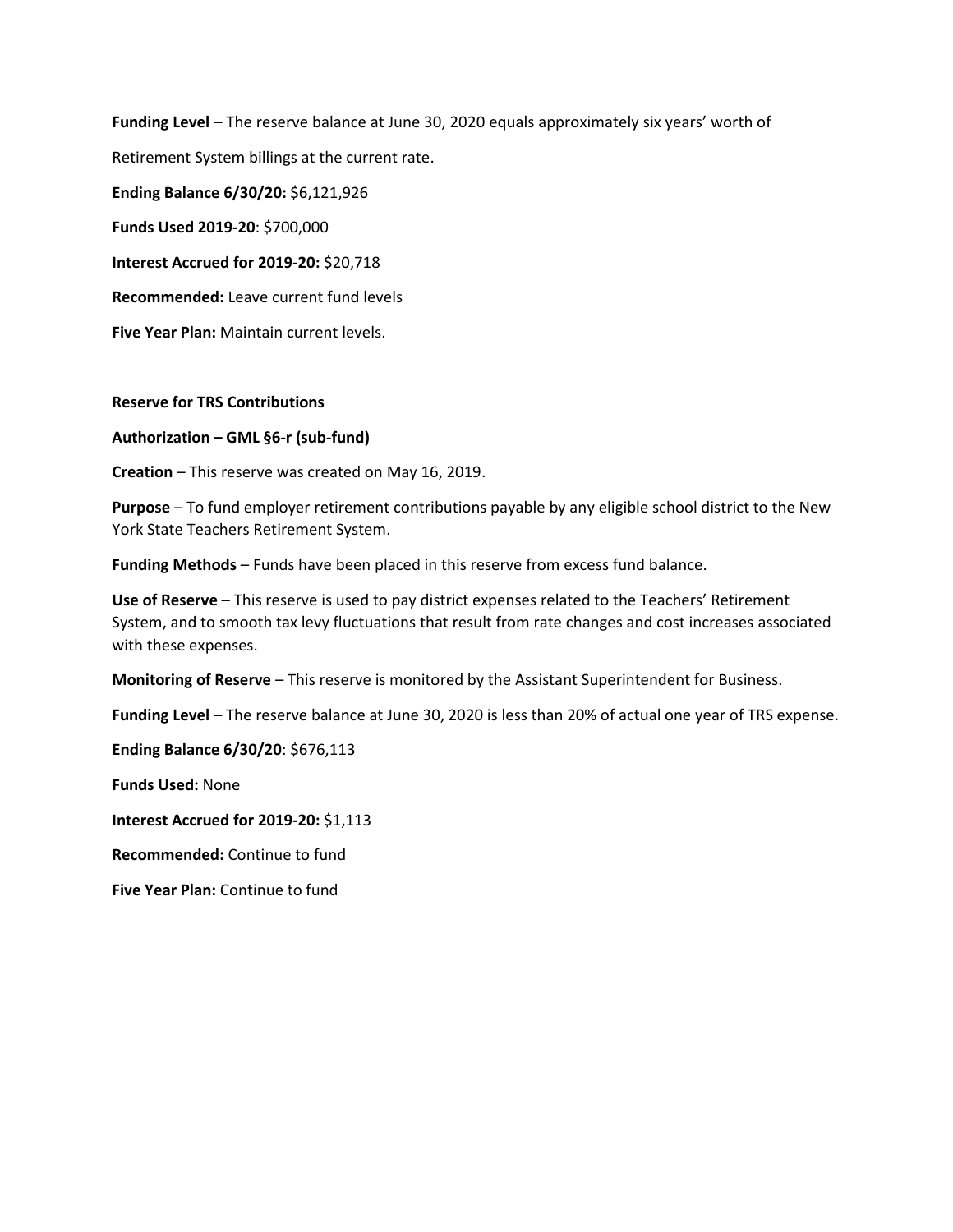**Funding Level** – The reserve balance at June 30, 2020 equals approximately six years' worth of Retirement System billings at the current rate. **Ending Balance 6/30/20:** \$6,121,926 **Funds Used 2019-20**: \$700,000 **Interest Accrued for 2019-20:** \$20,718 **Recommended:** Leave current fund levels

**Five Year Plan:** Maintain current levels.

**Reserve for TRS Contributions**

**Authorization – GML §6-r (sub-fund)**

**Creation** – This reserve was created on May 16, 2019.

**Purpose** – To fund employer retirement contributions payable by any eligible school district to the New York State Teachers Retirement System.

**Funding Methods** – Funds have been placed in this reserve from excess fund balance.

**Use of Reserve** – This reserve is used to pay district expenses related to the Teachers' Retirement System, and to smooth tax levy fluctuations that result from rate changes and cost increases associated with these expenses.

**Monitoring of Reserve** – This reserve is monitored by the Assistant Superintendent for Business.

**Funding Level** – The reserve balance at June 30, 2020 is less than 20% of actual one year of TRS expense.

**Ending Balance 6/30/20**: \$676,113

**Funds Used:** None

**Interest Accrued for 2019-20:** \$1,113

**Recommended:** Continue to fund

**Five Year Plan:** Continue to fund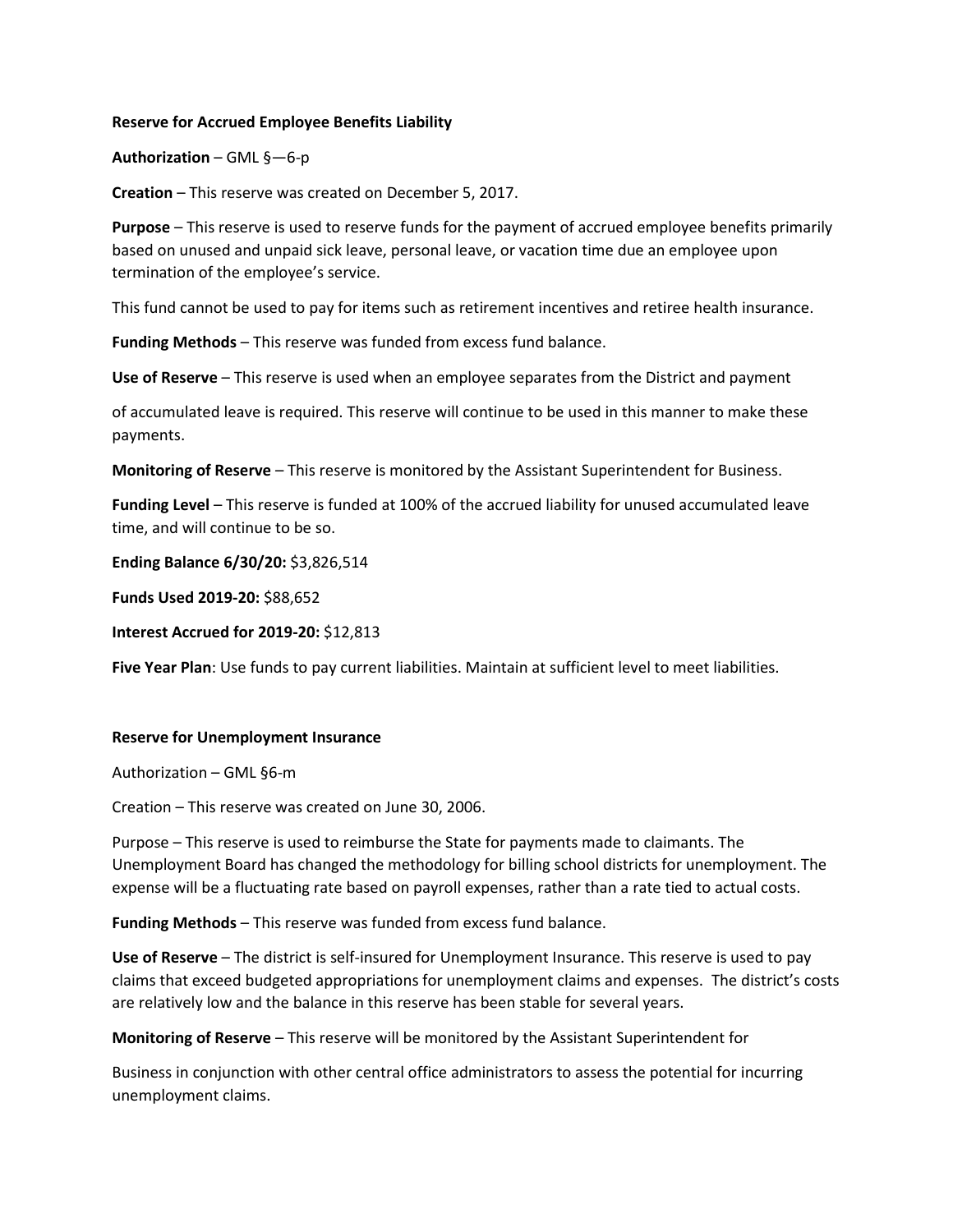# **Reserve for Accrued Employee Benefits Liability**

# **Authorization** – GML §—6-p

**Creation** – This reserve was created on December 5, 2017.

**Purpose** – This reserve is used to reserve funds for the payment of accrued employee benefits primarily based on unused and unpaid sick leave, personal leave, or vacation time due an employee upon termination of the employee's service.

This fund cannot be used to pay for items such as retirement incentives and retiree health insurance.

**Funding Methods** – This reserve was funded from excess fund balance.

**Use of Reserve** – This reserve is used when an employee separates from the District and payment

of accumulated leave is required. This reserve will continue to be used in this manner to make these payments.

**Monitoring of Reserve** – This reserve is monitored by the Assistant Superintendent for Business.

**Funding Level** – This reserve is funded at 100% of the accrued liability for unused accumulated leave time, and will continue to be so.

**Ending Balance 6/30/20:** \$3,826,514

**Funds Used 2019-20:** \$88,652

**Interest Accrued for 2019-20:** \$12,813

**Five Year Plan**: Use funds to pay current liabilities. Maintain at sufficient level to meet liabilities.

#### **Reserve for Unemployment Insurance**

Authorization – GML §6-m

Creation – This reserve was created on June 30, 2006.

Purpose – This reserve is used to reimburse the State for payments made to claimants. The Unemployment Board has changed the methodology for billing school districts for unemployment. The expense will be a fluctuating rate based on payroll expenses, rather than a rate tied to actual costs.

**Funding Methods** – This reserve was funded from excess fund balance.

**Use of Reserve** – The district is self-insured for Unemployment Insurance. This reserve is used to pay claims that exceed budgeted appropriations for unemployment claims and expenses. The district's costs are relatively low and the balance in this reserve has been stable for several years.

**Monitoring of Reserve** – This reserve will be monitored by the Assistant Superintendent for

Business in conjunction with other central office administrators to assess the potential for incurring unemployment claims.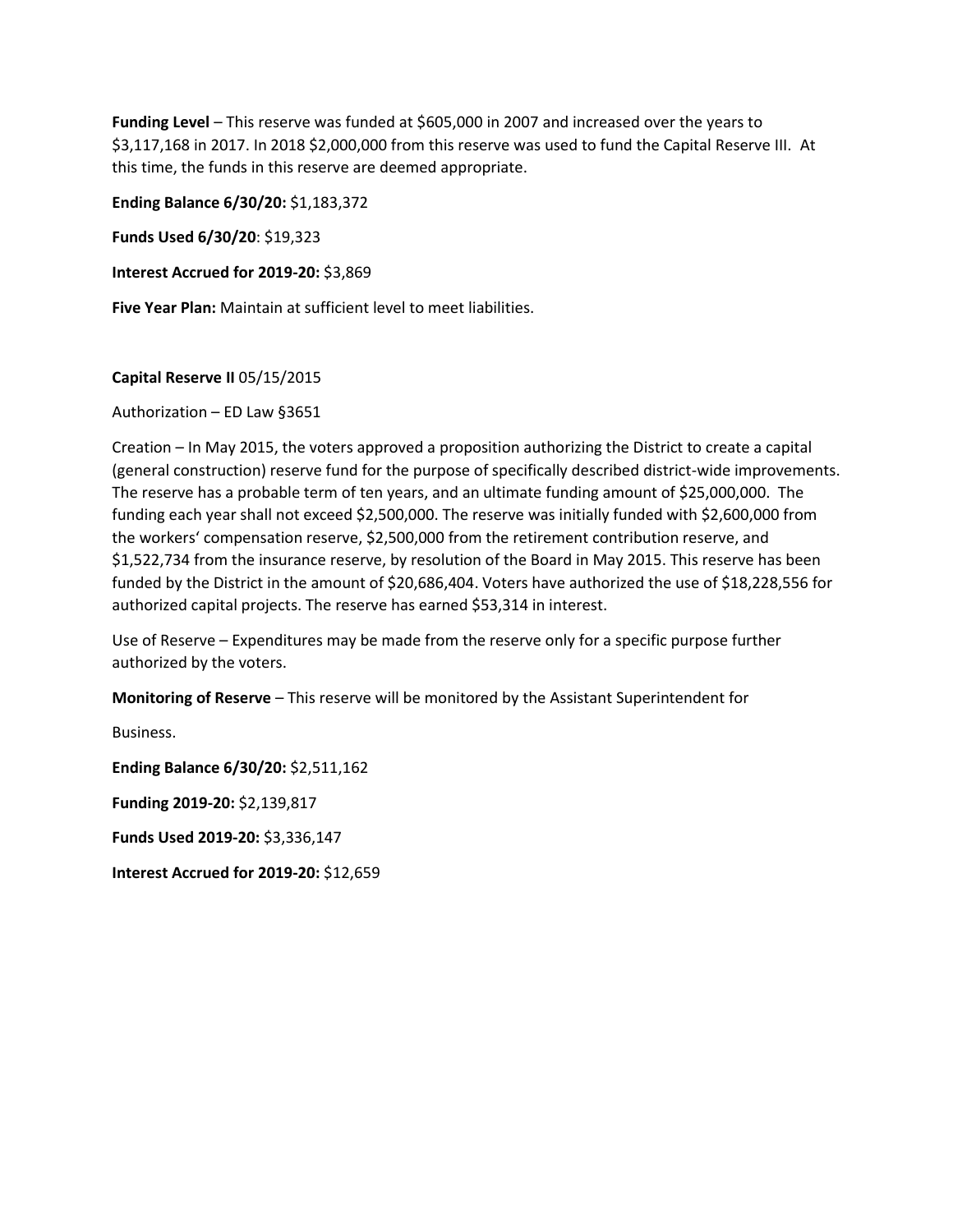**Funding Level** – This reserve was funded at \$605,000 in 2007 and increased over the years to \$3,117,168 in 2017. In 2018 \$2,000,000 from this reserve was used to fund the Capital Reserve III. At this time, the funds in this reserve are deemed appropriate.

**Ending Balance 6/30/20:** \$1,183,372

**Funds Used 6/30/20**: \$19,323

**Interest Accrued for 2019-20:** \$3,869

**Five Year Plan:** Maintain at sufficient level to meet liabilities.

# **Capital Reserve II** 05/15/2015

Authorization – ED Law §3651

Creation – In May 2015, the voters approved a proposition authorizing the District to create a capital (general construction) reserve fund for the purpose of specifically described district-wide improvements. The reserve has a probable term of ten years, and an ultimate funding amount of \$25,000,000. The funding each year shall not exceed \$2,500,000. The reserve was initially funded with \$2,600,000 from the workers' compensation reserve, \$2,500,000 from the retirement contribution reserve, and \$1,522,734 from the insurance reserve, by resolution of the Board in May 2015. This reserve has been funded by the District in the amount of \$20,686,404. Voters have authorized the use of \$18,228,556 for authorized capital projects. The reserve has earned \$53,314 in interest.

Use of Reserve – Expenditures may be made from the reserve only for a specific purpose further authorized by the voters.

**Monitoring of Reserve** – This reserve will be monitored by the Assistant Superintendent for

Business. **Ending Balance 6/30/20:** \$2,511,162 **Funding 2019-20:** \$2,139,817 **Funds Used 2019-20:** \$3,336,147 **Interest Accrued for 2019-20:** \$12,659